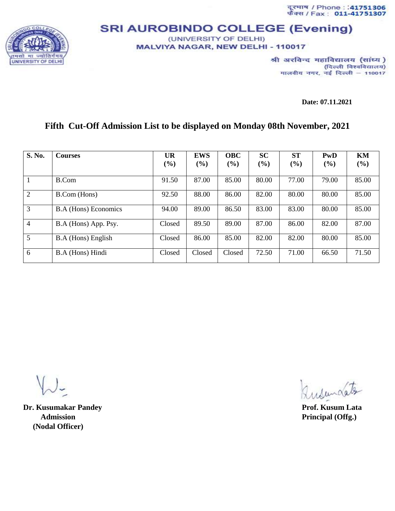दूरमाथ / Phone : :41751306<br>फैक्स / Fax : 011-41751307



## **SRI AUROBINDO COLLEGE (Evening)** (UNIVERSITY OF DELHI)

MALVIYA NAGAR, NEW DELHI - 110017

श्री अरविन्द महाविद्यालय (सांध्य) (दिल्ली विश्वविद्यालय) मालवीय नगर, नई दिल्ली - 110017

**Date: 07.11.2021**

## **Fifth Cut-Off Admission List to be displayed on Monday 08th November, 2021**

| S. No.         | <b>Courses</b>              | <b>UR</b> | <b>EWS</b> | <b>OBC</b> | <b>SC</b> | <b>ST</b> | <b>PwD</b> | KM    |
|----------------|-----------------------------|-----------|------------|------------|-----------|-----------|------------|-------|
|                |                             | $(\%)$    | $(\%)$     | (%)        | (%)       | (%)       | (%)        | (%)   |
|                | B.Com                       | 91.50     | 87.00      | 85.00      | 80.00     | 77.00     | 79.00      | 85.00 |
| 2              | <b>B.Com</b> (Hons)         | 92.50     | 88.00      | 86.00      | 82.00     | 80.00     | 80.00      | 85.00 |
| 3              | <b>B.A</b> (Hons) Economics | 94.00     | 89.00      | 86.50      | 83.00     | 83.00     | 80.00      | 85.00 |
| $\overline{4}$ | B.A (Hons) App. Psy.        | Closed    | 89.50      | 89.00      | 87.00     | 86.00     | 82.00      | 87.00 |
| $\mathfrak{S}$ | B.A (Hons) English          | Closed    | 86.00      | 85.00      | 82.00     | 82.00     | 80.00      | 85.00 |
| 6              | B.A (Hons) Hindi            | Closed    | Closed     | Closed     | 72.50     | 71.00     | 66.50      | 71.50 |

**Dr. Kusumakar Pandey Prof. Kusum Lata** *Admission* Principal (Offg.)  **(Nodal Officer)**

Insuractor